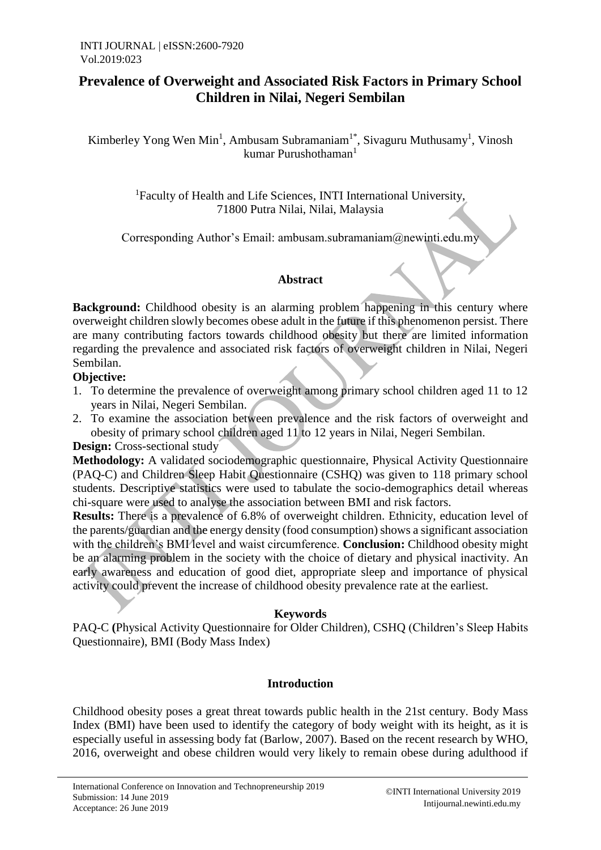# **Prevalence of Overweight and Associated Risk Factors in Primary School Children in Nilai, Negeri Sembilan**

Kimberley Yong Wen Min<sup>1</sup>, Ambusam Subramaniam<sup>1\*</sup>, Sivaguru Muthusamy<sup>1</sup>, Vinosh kumar Purushothaman<sup>1</sup>

> <sup>1</sup>Faculty of Health and Life Sciences, INTI International University, 71800 Putra Nilai, Nilai, Malaysia

Corresponding Author's Email: ambusam.subramaniam@newinti.edu.my

# **Abstract**

**Background:** Childhood obesity is an alarming problem happening in this century where overweight children slowly becomes obese adult in the future if this phenomenon persist. There are many contributing factors towards childhood obesity but there are limited information regarding the prevalence and associated risk factors of overweight children in Nilai, Negeri Sembilan.

# **Objective:**

- 1. To determine the prevalence of overweight among primary school children aged 11 to 12 years in Nilai, Negeri Sembilan.
- 2. To examine the association between prevalence and the risk factors of overweight and obesity of primary school children aged 11 to 12 years in Nilai, Negeri Sembilan.

**Design:** Cross-sectional study

**Methodology:** A validated sociodemographic questionnaire, Physical Activity Questionnaire (PAQ-C) and Children Sleep Habit Questionnaire (CSHQ) was given to 118 primary school students. Descriptive statistics were used to tabulate the socio-demographics detail whereas chi-square were used to analyse the association between BMI and risk factors.

**Results:** There is a prevalence of 6.8% of overweight children. Ethnicity, education level of the parents/guardian and the energy density (food consumption) shows a significant association with the children's BMI level and waist circumference. **Conclusion:** Childhood obesity might be an alarming problem in the society with the choice of dietary and physical inactivity. An early awareness and education of good diet, appropriate sleep and importance of physical activity could prevent the increase of childhood obesity prevalence rate at the earliest.

## **Keywords**

PAQ-C **(**Physical Activity Questionnaire for Older Children), CSHQ (Children's Sleep Habits Questionnaire), BMI (Body Mass Index)

# **Introduction**

Childhood obesity poses a great threat towards public health in the 21st century. Body Mass Index (BMI) have been used to identify the category of body weight with its height, as it is especially useful in assessing body fat (Barlow, 2007). Based on the recent research by WHO, 2016, overweight and obese children would very likely to remain obese during adulthood if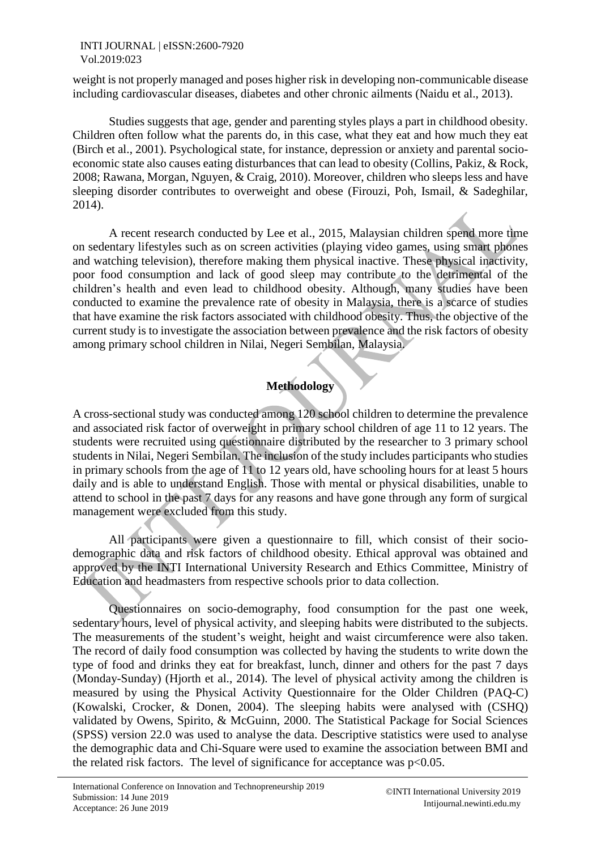weight is not properly managed and poses higher risk in developing non-communicable disease including cardiovascular diseases, diabetes and other chronic ailments (Naidu et al., 2013).

Studies suggests that age, gender and parenting styles plays a part in childhood obesity. Children often follow what the parents do, in this case, what they eat and how much they eat (Birch et al., 2001). Psychological state, for instance, depression or anxiety and parental socioeconomic state also causes eating disturbances that can lead to obesity (Collins, Pakiz, & Rock, 2008; Rawana, Morgan, Nguyen, & Craig, 2010). Moreover, children who sleeps less and have sleeping disorder contributes to overweight and obese (Firouzi, Poh, Ismail, & Sadeghilar, 2014).

A recent research conducted by Lee et al., 2015, Malaysian children spend more time on sedentary lifestyles such as on screen activities (playing video games, using smart phones and watching television), therefore making them physical inactive. These physical inactivity, poor food consumption and lack of good sleep may contribute to the detrimental of the children's health and even lead to childhood obesity. Although, many studies have been conducted to examine the prevalence rate of obesity in Malaysia, there is a scarce of studies that have examine the risk factors associated with childhood obesity. Thus, the objective of the current study is to investigate the association between prevalence and the risk factors of obesity among primary school children in Nilai, Negeri Sembilan, Malaysia.

# **Methodology**

A cross-sectional study was conducted among 120 school children to determine the prevalence and associated risk factor of overweight in primary school children of age 11 to 12 years. The students were recruited using questionnaire distributed by the researcher to 3 primary school students in Nilai, Negeri Sembilan. The inclusion of the study includes participants who studies in primary schools from the age of 11 to 12 years old, have schooling hours for at least 5 hours daily and is able to understand English. Those with mental or physical disabilities, unable to attend to school in the past 7 days for any reasons and have gone through any form of surgical management were excluded from this study.

All participants were given a questionnaire to fill, which consist of their sociodemographic data and risk factors of childhood obesity. Ethical approval was obtained and approved by the INTI International University Research and Ethics Committee, Ministry of Education and headmasters from respective schools prior to data collection.

Questionnaires on socio-demography, food consumption for the past one week, sedentary hours, level of physical activity, and sleeping habits were distributed to the subjects. The measurements of the student's weight, height and waist circumference were also taken. The record of daily food consumption was collected by having the students to write down the type of food and drinks they eat for breakfast, lunch, dinner and others for the past 7 days (Monday-Sunday) (Hjorth et al., 2014). The level of physical activity among the children is measured by using the Physical Activity Questionnaire for the Older Children (PAQ-C) (Kowalski, Crocker, & Donen, 2004). The sleeping habits were analysed with (CSHQ) validated by Owens, Spirito, & McGuinn, 2000. The Statistical Package for Social Sciences (SPSS) version 22.0 was used to analyse the data. Descriptive statistics were used to analyse the demographic data and Chi-Square were used to examine the association between BMI and the related risk factors. The level of significance for acceptance was  $p<0.05$ .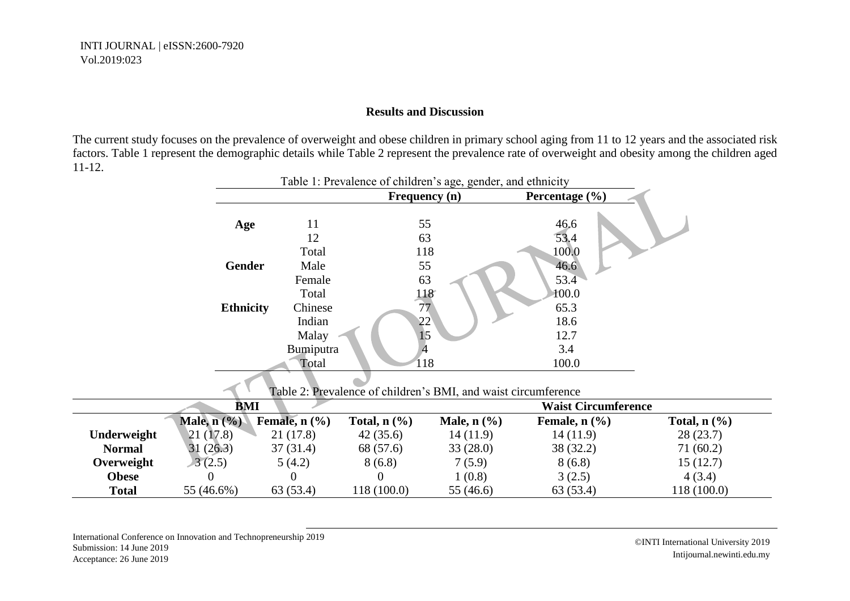#### **Results and Discussion**

The current study focuses on the prevalence of overweight and obese children in primary school aging from 11 to 12 years and the associated risk factors. Table 1 represent the demographic details while Table 2 represent the prevalence rate of overweight and obesity among the children aged 11-12.

|               |                                      | raole 1. I revalence of emitted b age, genuel, and emment |                                                                |                                      |                             |                   |  |  |
|---------------|--------------------------------------|-----------------------------------------------------------|----------------------------------------------------------------|--------------------------------------|-----------------------------|-------------------|--|--|
|               |                                      |                                                           | Frequency (n)                                                  |                                      | Percentage $(\% )$          |                   |  |  |
|               | Age                                  | 11<br>12                                                  | 55<br>63                                                       |                                      | 46.6<br>53.4                |                   |  |  |
|               |                                      | Total                                                     | 118                                                            |                                      | 100.0                       |                   |  |  |
|               | <b>Gender</b>                        | Male                                                      | 55                                                             |                                      | 46.6                        |                   |  |  |
|               |                                      | Female                                                    | 63                                                             |                                      | 53.4                        |                   |  |  |
|               |                                      | Total                                                     | 118                                                            |                                      | 100.0                       |                   |  |  |
|               | <b>Ethnicity</b>                     | Chinese                                                   | 77                                                             |                                      | 65.3                        |                   |  |  |
|               |                                      | Indian                                                    | 22                                                             |                                      | 18.6                        |                   |  |  |
|               |                                      | Malay                                                     | 15                                                             |                                      | 12.7                        |                   |  |  |
|               |                                      | Bumiputra                                                 |                                                                |                                      | 3.4                         |                   |  |  |
|               |                                      | Total                                                     | 118                                                            |                                      | 100.0                       |                   |  |  |
|               |                                      |                                                           | Table 2: Prevalence of children's BMI, and waist circumference |                                      |                             |                   |  |  |
|               | BMI                                  |                                                           |                                                                |                                      | <b>Waist Circumference</b>  |                   |  |  |
|               | Male, $n$ $\left(\frac{9}{6}\right)$ | Female, $n$ $(\frac{9}{6})$                               | Total, $n$ (%)                                                 | Male, $n$ $\left(\frac{9}{6}\right)$ | Female, $n$ $(\frac{9}{6})$ | Total, $n$ $(\%)$ |  |  |
| Underweight   | 21(17.8)                             | 21 (17.8)                                                 | 42(35.6)                                                       | 14(11.9)                             | 14(11.9)                    | 28(23.7)          |  |  |
| <b>Normal</b> | 31(26.3)                             | 37(31.4)                                                  | 68 (57.6)                                                      | 33(28.0)                             | 38 (32.2)                   | 71 (60.2)         |  |  |
| Overweight    | 3(2.5)                               | 5(4.2)                                                    | 8(6.8)                                                         | 7(5.9)                               | 8(6.8)                      | 15(12.7)          |  |  |

**Obese** 0 0 0 0 1 (0.8) 3 (2.5) 4 (3.4) **Total** 55 (46.6%) 63 (53.4) 118 (100.0) 55 (46.6) 63 (53.4) 118 (100.0)

## Table 1: Prevalence of children's age, gender, and ethnicity

International Conference on Innovation and Technopreneurship 2019 Submission: 14 June 2019 Acceptance: 26 June 2019

©INTI International University 2019 Intijournal.newinti.edu.my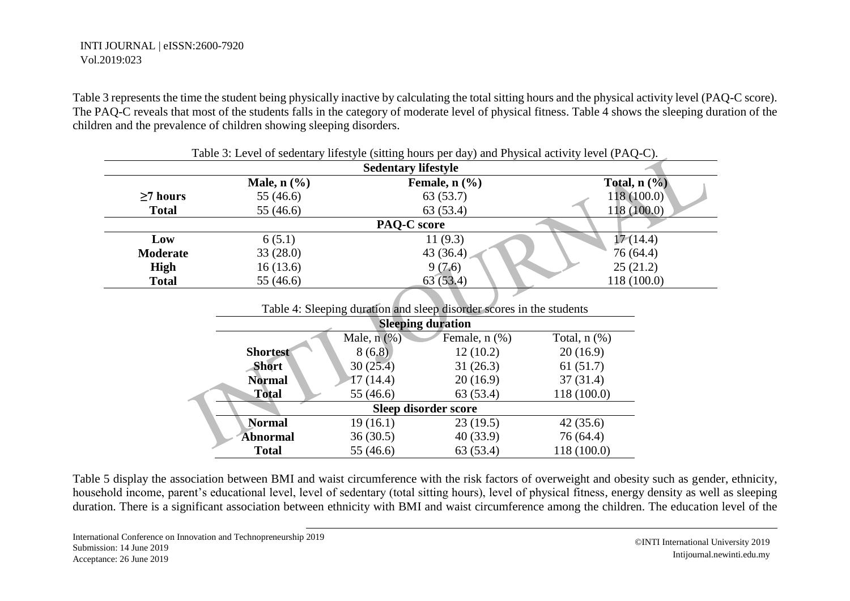Table 3 represents the time the student being physically inactive by calculating the total sitting hours and the physical activity level (PAQ-C score). The PAQ-C reveals that most of the students falls in the category of moderate level of physical fitness. Table 4 shows the sleeping duration of the children and the prevalence of children showing sleeping disorders.

|                 | Table 3: Level of sedentary lifestyle (sitting hours per day) and Physical activity level (PAQ-C). |                             |                   |  |  |  |  |  |
|-----------------|----------------------------------------------------------------------------------------------------|-----------------------------|-------------------|--|--|--|--|--|
|                 | <b>Sedentary lifestyle</b>                                                                         |                             |                   |  |  |  |  |  |
|                 | Male, $n$ $\left(\frac{9}{6}\right)$                                                               | Female, $n$ $(\frac{9}{6})$ | Total, $n$ $(\%)$ |  |  |  |  |  |
| $\geq$ 7 hours  | 55 (46.6)                                                                                          | 63 (53.7)                   | 118(100.0)        |  |  |  |  |  |
| <b>Total</b>    | 55 (46.6)                                                                                          | 63 (53.4)                   | 118(100.0)        |  |  |  |  |  |
|                 | <b>PAQ-C</b> score                                                                                 |                             |                   |  |  |  |  |  |
| Low             | 6(5.1)                                                                                             | 11(9.3)                     | 17(14.4)          |  |  |  |  |  |
| <b>Moderate</b> | 33(28.0)                                                                                           | 43 $(36.4)$                 | 76(64.4)          |  |  |  |  |  |
| High            | 16(13.6)                                                                                           | 9(7.6)                      | 25(21.2)          |  |  |  |  |  |
| <b>Total</b>    | 55 (46.6)                                                                                          | 63(53.4)                    | 118(100.0)        |  |  |  |  |  |

| Table 4: Sleeping duration and sleep disorder scores in the students |                  |                    |                   |  |  |  |  |  |
|----------------------------------------------------------------------|------------------|--------------------|-------------------|--|--|--|--|--|
| <b>Sleeping duration</b>                                             |                  |                    |                   |  |  |  |  |  |
|                                                                      | Male, $n$ $(\%)$ | Female, $n$ $(\%)$ | Total, $n$ $(\%)$ |  |  |  |  |  |
| <b>Shortest</b>                                                      | 8(6.8)           | 12(10.2)           | 20(16.9)          |  |  |  |  |  |
| <b>Short</b>                                                         | 30(25.4)         | 31(26.3)           | 61(51.7)          |  |  |  |  |  |
| <b>Normal</b>                                                        | 17(14.4)         | 20(16.9)           | 37(31.4)          |  |  |  |  |  |
| <b>Total</b>                                                         | 55 (46.6)        | 63 (53.4)          | 118 (100.0)       |  |  |  |  |  |
| Sleep disorder score                                                 |                  |                    |                   |  |  |  |  |  |
| <b>Normal</b>                                                        | 19(16.1)         | 23(19.5)           | 42(35.6)          |  |  |  |  |  |
| <b>Abnormal</b>                                                      | 36(30.5)         | 40(33.9)           | 76 (64.4)         |  |  |  |  |  |
| <b>Total</b>                                                         | 55 (46.6)        | 63(53.4)           | 118 (100.0)       |  |  |  |  |  |

Table 5 display the association between BMI and waist circumference with the risk factors of overweight and obesity such as gender, ethnicity, household income, parent's educational level, level of sedentary (total sitting hours), level of physical fitness, energy density as well as sleeping duration. There is a significant association between ethnicity with BMI and waist circumference among the children. The education level of the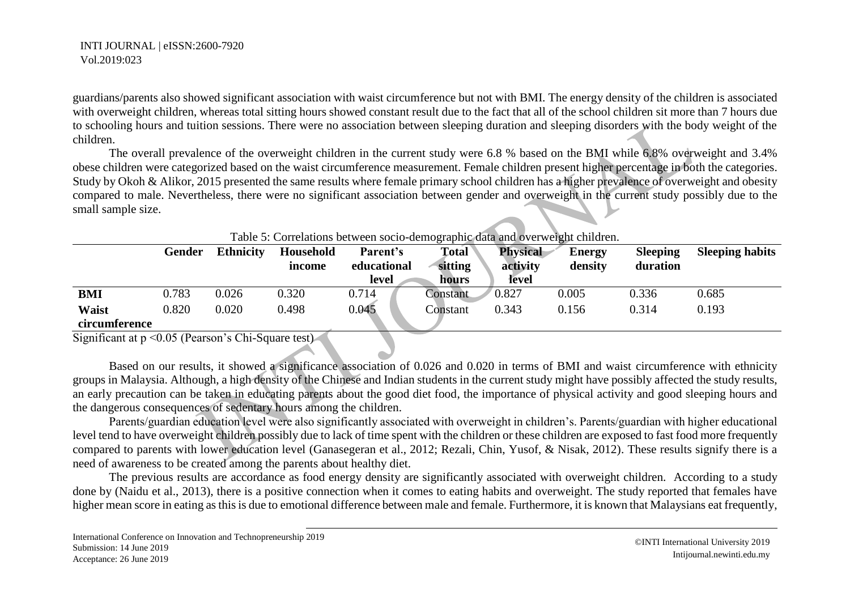guardians/parents also showed significant association with waist circumference but not with BMI. The energy density of the children is associated with overweight children, whereas total sitting hours showed constant result due to the fact that all of the school children sit more than 7 hours due to schooling hours and tuition sessions. There were no association between sleeping duration and sleeping disorders with the body weight of the children.

The overall prevalence of the overweight children in the current study were 6.8 % based on the BMI while 6.8% overweight and 3.4% obese children were categorized based on the waist circumference measurement. Female children present higher percentage in both the categories. Study by Okoh & Alikor, 2015 presented the same results where female primary school children has a higher prevalence of overweight and obesity compared to male. Nevertheless, there were no significant association between gender and overweight in the current study possibly due to the small sample size.

| Table 5: Correlations between socio-demographic data and overweight children. |               |                  |                     |                         |                         |                             |                          |                             |                        |
|-------------------------------------------------------------------------------|---------------|------------------|---------------------|-------------------------|-------------------------|-----------------------------|--------------------------|-----------------------------|------------------------|
|                                                                               | <b>Gender</b> | <b>Ethnicity</b> | Household<br>income | Parent's<br>educational | <b>Total</b><br>sitting | <b>Physical</b><br>activity | <b>Energy</b><br>density | <b>Sleeping</b><br>duration | <b>Sleeping habits</b> |
|                                                                               |               |                  |                     | level                   | hours                   | <b>level</b>                |                          |                             |                        |
| <b>BMI</b>                                                                    | 0.783         | 0.026            | 0.320               | 0.714                   | Constant                | 0.827                       | 0.005                    | 0.336                       | 0.685                  |
| <b>Waist</b>                                                                  | 0.820         | 0.020            | 0.498               | 0.045                   | Constant                | 0.343                       | 0.156                    | 0.314                       | 0.193                  |
| circumference                                                                 |               |                  |                     |                         |                         |                             |                          |                             |                        |

Table 5: Correlations between socio-demographic data and overweight children.

Significant at p < 0.05 (Pearson's Chi-Square test)

Based on our results, it showed a significance association of 0.026 and 0.020 in terms of BMI and waist circumference with ethnicity groups in Malaysia. Although, a high density of the Chinese and Indian students in the current study might have possibly affected the study results, an early precaution can be taken in educating parents about the good diet food, the importance of physical activity and good sleeping hours and the dangerous consequences of sedentary hours among the children.

Parents/guardian education level were also significantly associated with overweight in children's. Parents/guardian with higher educational level tend to have overweight children possibly due to lack of time spent with the children or these children are exposed to fast food more frequently compared to parents with lower education level (Ganasegeran et al., 2012; Rezali, Chin, Yusof, & Nisak, 2012). These results signify there is a need of awareness to be created among the parents about healthy diet.

The previous results are accordance as food energy density are significantly associated with overweight children. According to a study done by (Naidu et al., 2013), there is a positive connection when it comes to eating habits and overweight. The study reported that females have higher mean score in eating as this is due to emotional difference between male and female. Furthermore, it is known that Malaysians eat frequently,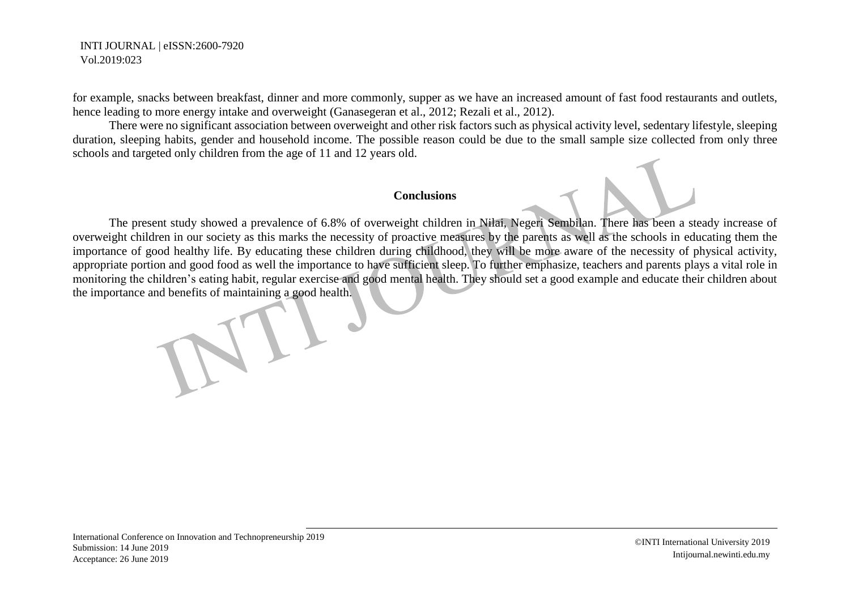for example, snacks between breakfast, dinner and more commonly, supper as we have an increased amount of fast food restaurants and outlets, hence leading to more energy intake and overweight (Ganasegeran et al., 2012; Rezali et al., 2012).

There were no significant association between overweight and other risk factors such as physical activity level, sedentary lifestyle, sleeping duration, sleeping habits, gender and household income. The possible reason could be due to the small sample size collected from only three schools and targeted only children from the age of 11 and 12 years old.

#### **Conclusions**

The present study showed a prevalence of 6.8% of overweight children in Nilai, Negeri Sembilan. There has been a steady increase of overweight children in our society as this marks the necessity of proactive measures by the parents as well as the schools in educating them the importance of good healthy life. By educating these children during childhood, they will be more aware of the necessity of physical activity, appropriate portion and good food as well the importance to have sufficient sleep. To further emphasize, teachers and parents plays a vital role in monitoring the children's eating habit, regular exercise and good mental health. They should set a good example and educate their children about the importance and benefits of maintaining a good health.